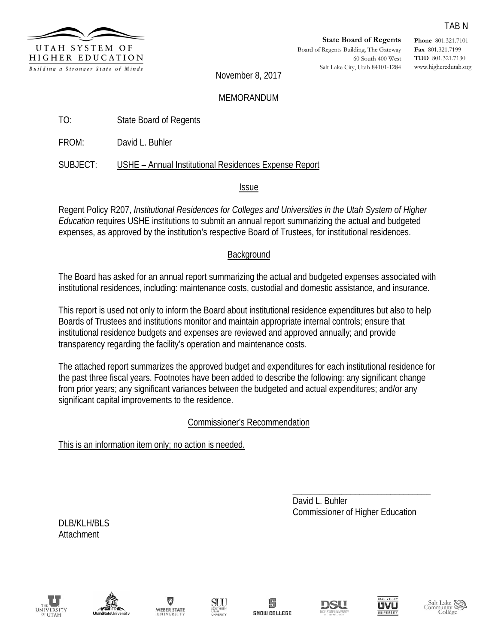

**Phone** 801.321.7101 **Fax** 801.321.7199 **TDD** 801.321.7130 www.higheredutah.org

November 8, 2017

#### MEMORANDUM

- TO: State Board of Regents
- FROM: David L. Buhler

### SUBJECT: USHE – Annual Institutional Residences Expense Report

#### Issue

Regent Policy R207, *Institutional Residences for Colleges and Universities in the Utah System of Higher Education* requires USHE institutions to submit an annual report summarizing the actual and budgeted expenses, as approved by the institution's respective Board of Trustees, for institutional residences.

### **Background**

The Board has asked for an annual report summarizing the actual and budgeted expenses associated with institutional residences, including: maintenance costs, custodial and domestic assistance, and insurance.

This report is used not only to inform the Board about institutional residence expenditures but also to help Boards of Trustees and institutions monitor and maintain appropriate internal controls; ensure that institutional residence budgets and expenses are reviewed and approved annually; and provide transparency regarding the facility's operation and maintenance costs.

The attached report summarizes the approved budget and expenditures for each institutional residence for the past three fiscal years. Footnotes have been added to describe the following: any significant change from prior years; any significant variances between the budgeted and actual expenditures; and/or any significant capital improvements to the residence.

Commissioner's Recommendation

This is an information item only; no action is needed.

\_\_\_\_\_\_\_\_\_\_\_\_\_\_\_\_\_\_\_\_\_\_\_\_\_\_\_\_\_\_\_ David L. Buhler Commissioner of Higher Education

DLB/KLH/BLS Attachment